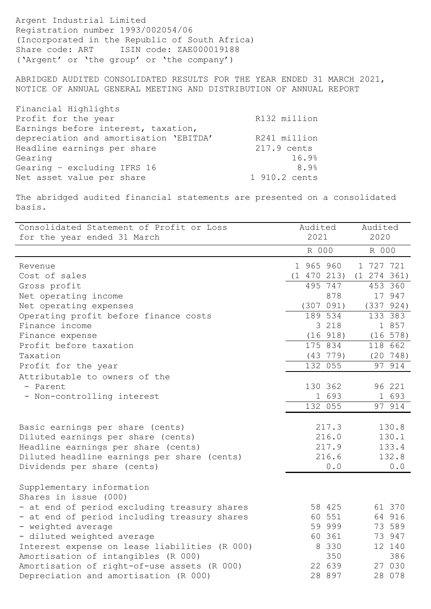Argent Industrial Limited Registration number 1993/002054/06 (Incorporated in the Republic of South Africa) Share code: ART ISIN code: ZAE000019188 ('Argent' or 'the group' or 'the company')

ABRIDGED AUDITED CONSOLIDATED RESULTS FOR THE YEAR ENDED 31 MARCH 2021, NOTICE OF ANNUAL GENERAL MEETING AND DISTRIBUTION OF ANNUAL REPORT

| Financial Highlights<br>Profit for the year | R132 million  |
|---------------------------------------------|---------------|
| Earnings before interest, taxation,         |               |
| depreciation and amortisation 'EBITDA'      | R241 million  |
| Headline earnings per share                 | 217.9 cents   |
| Gearing                                     | 16.9%         |
| Gearing - excluding IFRS 16                 | 8.9%          |
| Net asset value per share                   | 1 910.2 cents |

The abridged audited financial statements are presented on a consolidated basis.

| Consolidated Statement of Profit or Loss           | Audited     | Audited     |
|----------------------------------------------------|-------------|-------------|
| for the year ended 31 March                        | 2021        | 2020        |
|                                                    | R 000       | R 000       |
| Revenue                                            | 1 965 960   | 1 727 721   |
| Cost of sales                                      | (1 470 213) | (1 274 361) |
| Gross profit                                       | 495 747     | 453 360     |
| Net operating income                               | 878         | 17 947      |
| Net operating expenses                             | (307 091)   | (337 924)   |
| Operating profit before finance costs              | 189 534     | 133 383     |
| Finance income                                     | 3 218       | 1 857       |
| Finance expense                                    | (16918)     | (16 578)    |
| Profit before taxation                             | 175 834     | 118 662     |
| Taxation                                           | (43 779)    | (20 748)    |
| Profit for the year                                | 132 055     | 97 914      |
| Attributable to owners of the                      |             |             |
| - Parent                                           | 130 362     | 96 221      |
| - Non-controlling interest                         | 1 693       | 1 693       |
|                                                    | 132 055     | 97 914      |
| Basic earnings per share (cents)                   | 217.3       | 130.8       |
| Diluted earnings per share (cents)                 | 216.0       | 130.1       |
| Headline earnings per share (cents)                | 217.9       | 133.4       |
| Diluted headline earnings per share (cents)        | 216.6       | 132.8       |
| Dividends per share (cents)                        | 0.0         | 0.0         |
| Supplementary information<br>Shares in issue (000) |             |             |
| - at end of period excluding treasury shares       | 58 425      | 61 370      |
| - at end of period including treasury shares       | 60 551      | 64 916      |
| - weighted average                                 | 59 999      | 73 589      |
| - diluted weighted average                         | 60 361      | 73 947      |
| Interest expense on lease liabilities (R 000)      | 8 3 3 0     | 12 140      |
| Amortisation of intangibles (R 000)                | 350         | 386         |
| Amortisation of right-of-use assets (R 000)        | 22 639      | 27 030      |
| Depreciation and amortisation (R 000)              | 28 897      | 28 078      |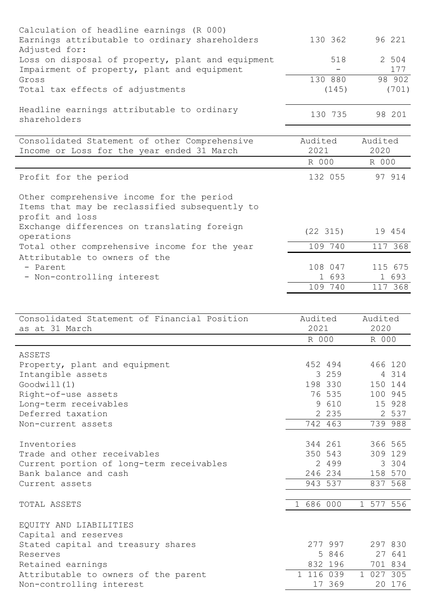| Calculation of headline earnings (R 000)<br>Earnings attributable to ordinary shareholders                        | 130 362          | 96 221           |
|-------------------------------------------------------------------------------------------------------------------|------------------|------------------|
| Adjusted for:<br>Loss on disposal of property, plant and equipment<br>Impairment of property, plant and equipment | 518              | 2 504<br>177     |
| Gross                                                                                                             | 130 880          | 98 902           |
| Total tax effects of adjustments                                                                                  | (145)            | (701)            |
| Headline earnings attributable to ordinary<br>shareholders                                                        | 130 735          | 98 201           |
| Consolidated Statement of other Comprehensive<br>Income or Loss for the year ended 31 March                       | Audited<br>2021  | Audited<br>2020  |
|                                                                                                                   | R 000            | R 000            |
| Profit for the period                                                                                             | 132 055          | 97 914           |
| Other comprehensive income for the period<br>Items that may be reclassified subsequently to<br>profit and loss    |                  |                  |
| Exchange differences on translating foreign<br>operations                                                         | (22 315)         | 19 454           |
| Total other comprehensive income for the year                                                                     | 109 740          | 117 368          |
| Attributable to owners of the                                                                                     |                  |                  |
| - Parent                                                                                                          | 108 047          | 115 675          |
| - Non-controlling interest                                                                                        | 1 693<br>109 740 | 1 693<br>117 368 |
|                                                                                                                   |                  |                  |

| Consolidated Statement of Financial Position | Audited   | Audited   |
|----------------------------------------------|-----------|-----------|
| as at 31 March                               | 2021      | 2020      |
|                                              | R 000     | R 000     |
| ASSETS                                       |           |           |
| Property, plant and equipment                | 452 494   | 466 120   |
| Intangible assets                            | 3 2 5 9   | 4 314     |
| Good will (1)                                | 198 330   | 150 144   |
| Right-of-use assets                          | 76 535    | 100 945   |
| Long-term receivables                        | 9 610     | 15 928    |
| Deferred taxation                            | 2 2 3 5   | 2 537     |
| Non-current assets                           | 742 463   | 739 988   |
|                                              |           |           |
| Inventories                                  | 344 261   | 366 565   |
| Trade and other receivables                  | 350 543   | 309 129   |
| Current portion of long-term receivables     | 2 4 9 9   | 3 304     |
| Bank balance and cash                        | 246 234   | 158 570   |
| Current assets                               | 943 537   | 837 568   |
|                                              |           |           |
| TOTAL ASSETS                                 | 1 686 000 | 1 577 556 |
|                                              |           |           |
| EQUITY AND LIABILITIES                       |           |           |
| Capital and reserves                         |           |           |
| Stated capital and treasury shares           | 277 997   | 297 830   |
| Reserves                                     | 5 846     | 27 641    |
| Retained earnings                            | 832 196   | 701 834   |
| Attributable to owners of the parent         | 1 116 039 | 1 027 305 |
| Non-controlling interest                     | 17 369    | 20 176    |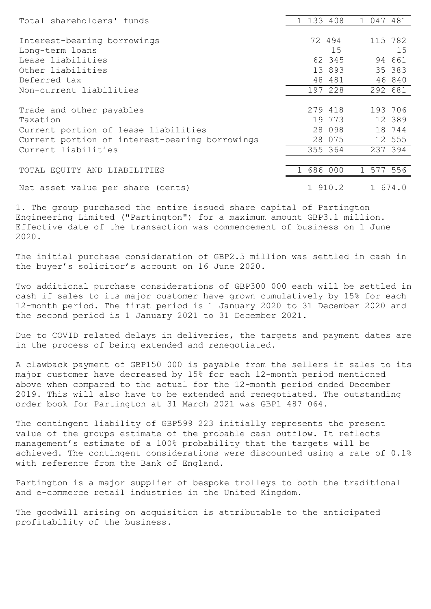| Total shareholders' funds                      | 1 133 408 |    | 1 047 481 |         |
|------------------------------------------------|-----------|----|-----------|---------|
|                                                |           |    |           |         |
| Interest-bearing borrowings                    | 72 494    |    | 115 782   |         |
| Long-term loans                                |           | 15 |           | 15      |
| Lease liabilities                              | 62 345    |    |           | 94 661  |
| Other liabilities                              | 13 893    |    |           | 35 383  |
| Deferred tax                                   | 48 481    |    |           | 46 840  |
| Non-current liabilities                        | 197 228   |    |           | 292 681 |
|                                                |           |    |           |         |
| Trade and other payables                       | 279 418   |    |           | 193 706 |
| Taxation                                       | 19 773    |    |           | 12 389  |
| Current portion of lease liabilities           | 28 098    |    |           | 18 744  |
| Current portion of interest-bearing borrowings | 28 075    |    |           | 12 555  |
| Current liabilities                            | 355 364   |    |           | 237 394 |
|                                                |           |    |           |         |
| TOTAL EQUITY AND LIABILITIES                   | 1 686 000 |    | 1 577 556 |         |
| Net asset value per share (cents)              | 1 910.2   |    | 1 674.0   |         |
|                                                |           |    |           |         |

1. The group purchased the entire issued share capital of Partington Engineering Limited ("Partington") for a maximum amount GBP3.1 million. Effective date of the transaction was commencement of business on 1 June 2020.

The initial purchase consideration of GBP2.5 million was settled in cash in the buyer's solicitor's account on 16 June 2020.

Two additional purchase considerations of GBP300 000 each will be settled in cash if sales to its major customer have grown cumulatively by 15% for each 12-month period. The first period is 1 January 2020 to 31 December 2020 and the second period is 1 January 2021 to 31 December 2021.

Due to COVID related delays in deliveries, the targets and payment dates are in the process of being extended and renegotiated.

A clawback payment of GBP150 000 is payable from the sellers if sales to its major customer have decreased by 15% for each 12-month period mentioned above when compared to the actual for the 12-month period ended December 2019. This will also have to be extended and renegotiated. The outstanding order book for Partington at 31 March 2021 was GBP1 487 064.

The contingent liability of GBP599 223 initially represents the present value of the groups estimate of the probable cash outflow. It reflects management's estimate of a 100% probability that the targets will be achieved. The contingent considerations were discounted using a rate of 0.1% with reference from the Bank of England.

Partington is a major supplier of bespoke trolleys to both the traditional and e-commerce retail industries in the United Kingdom.

The goodwill arising on acquisition is attributable to the anticipated profitability of the business.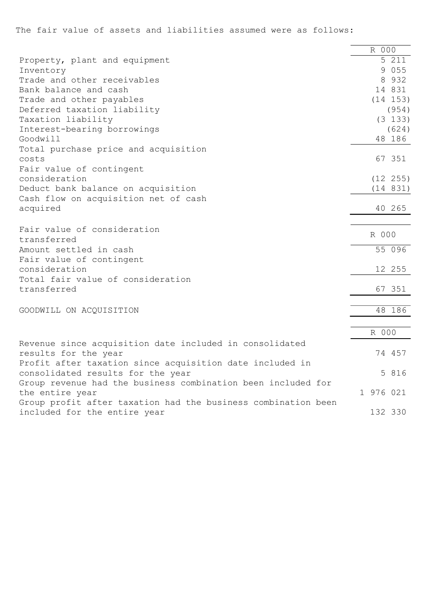The fair value of assets and liabilities assumed were as follows:

|                                                               | R 000     |              |
|---------------------------------------------------------------|-----------|--------------|
| Property, plant and equipment                                 |           | 5 211        |
| Inventory                                                     |           | 9 0 5 5      |
| Trade and other receivables                                   |           | 8 9 3 2      |
| Bank balance and cash                                         |           | 14 831       |
| Trade and other payables                                      |           | (14 153)     |
| Deferred taxation liability                                   |           | (954)        |
| Taxation liability                                            |           | (3 133)      |
| Interest-bearing borrowings                                   |           | (624)        |
| Goodwill                                                      |           | 48 186       |
| Total purchase price and acquisition                          |           |              |
| costs                                                         |           | 67 351       |
| Fair value of contingent                                      |           |              |
| consideration                                                 |           | $(12 \t255)$ |
| Deduct bank balance on acquisition                            |           | (14 831)     |
| Cash flow on acquisition net of cash                          |           |              |
| acquired                                                      | 40 265    |              |
|                                                               |           |              |
| Fair value of consideration                                   |           |              |
| transferred                                                   | R 000     |              |
| Amount settled in cash                                        |           | 55 096       |
| Fair value of contingent                                      |           |              |
| consideration                                                 | 12 255    |              |
| Total fair value of consideration                             |           |              |
| transferred                                                   |           | 67 351       |
|                                                               |           |              |
| GOODWILL ON ACQUISITION                                       |           | 48 186       |
|                                                               |           |              |
|                                                               | R 000     |              |
| Revenue since acquisition date included in consolidated       |           |              |
| results for the year                                          | 74 457    |              |
| Profit after taxation since acquisition date included in      |           |              |
| consolidated results for the year                             |           | 5 816        |
| Group revenue had the business combination been included for  |           |              |
| the entire year                                               | 1 976 021 |              |
| Group profit after taxation had the business combination been |           |              |
| included for the entire year                                  | 132 330   |              |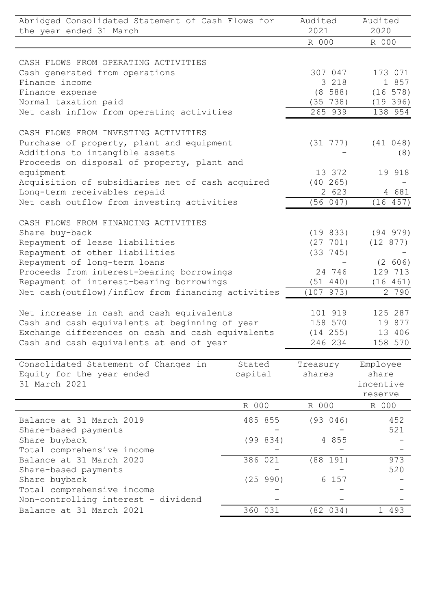| Abridged Consolidated Statement of Cash Flows for<br>the year ended 31 March                | Audited<br>2021 | Audited<br>2020     |                     |
|---------------------------------------------------------------------------------------------|-----------------|---------------------|---------------------|
|                                                                                             |                 | R 000               | R 000               |
|                                                                                             |                 |                     |                     |
| CASH FLOWS FROM OPERATING ACTIVITIES                                                        |                 |                     | 173 071             |
| Cash generated from operations<br>Finance income                                            |                 | 307 047<br>3 218    |                     |
|                                                                                             |                 |                     | 1 857               |
| Finance expense<br>Normal taxation paid                                                     |                 | (8 588)<br>(35 738) | $(16\ 578)$         |
| Net cash inflow from operating activities                                                   |                 | 265 939             | (19 396)<br>138 954 |
|                                                                                             |                 |                     |                     |
| CASH FLOWS FROM INVESTING ACTIVITIES                                                        |                 |                     |                     |
| Purchase of property, plant and equipment                                                   |                 | (31 777)            | (41 048)            |
| Additions to intangible assets                                                              |                 |                     | (8)                 |
| Proceeds on disposal of property, plant and                                                 |                 |                     |                     |
| equipment                                                                                   |                 | 13 372              | 19 918              |
| Acquisition of subsidiaries net of cash acquired                                            |                 | (40 265)            |                     |
| Long-term receivables repaid                                                                |                 | 2 623               | 4 681               |
| Net cash outflow from investing activities                                                  |                 | (56 047)            | (16 457)            |
| CASH FLOWS FROM FINANCING ACTIVITIES                                                        |                 |                     |                     |
| Share buy-back                                                                              |                 | (19 833)            | (94 979)            |
| Repayment of lease liabilities                                                              |                 | (27 701)            | (12 877)            |
| Repayment of other liabilities                                                              |                 | $(33 \t 745)$       |                     |
| Repayment of long-term loans                                                                |                 |                     | (2 606)             |
| Proceeds from interest-bearing borrowings                                                   |                 | 24 746              | 129 713             |
| Repayment of interest-bearing borrowings                                                    |                 | (51 440)            | (16 461)            |
| Net cash (outflow) / inflow from financing activities                                       |                 | (107973)            | 2 790               |
|                                                                                             |                 | 101 919             | 125 287             |
| Net increase in cash and cash equivalents<br>Cash and cash equivalents at beginning of year |                 | 158 570             | 19 877              |
| Exchange differences on cash and cash equivalents                                           |                 | (14 255)            | 13 406              |
|                                                                                             |                 | 246 234             | 158 570             |
| Cash and cash equivalents at end of year                                                    |                 |                     |                     |
| Consolidated Statement of Changes in                                                        | Stated          | Treasury            | Employee            |
| Equity for the year ended                                                                   | capital         | shares              | share               |
| 31 March 2021                                                                               |                 |                     | incentive           |
|                                                                                             |                 |                     | reserve             |
|                                                                                             | R 000           | R 000               | R 000               |
| Balance at 31 March 2019                                                                    | 485 855         | (93 046)            | 452                 |
| Share-based payments                                                                        |                 |                     | 521                 |
| Share buyback                                                                               | (99 834)        | 4 8 5 5             |                     |
| Total comprehensive income                                                                  |                 |                     |                     |
| Balance at 31 March 2020                                                                    | 386 021         | (88 191)            | 973                 |
| Share-based payments                                                                        |                 |                     | 520                 |
| Share buyback                                                                               | (25 990)        | 6 157               |                     |
| Total comprehensive income                                                                  |                 |                     |                     |
| Non-controlling interest - dividend                                                         |                 |                     |                     |
| Balance at 31 March 2021                                                                    | 360 031         | (82 034)            | 1 493               |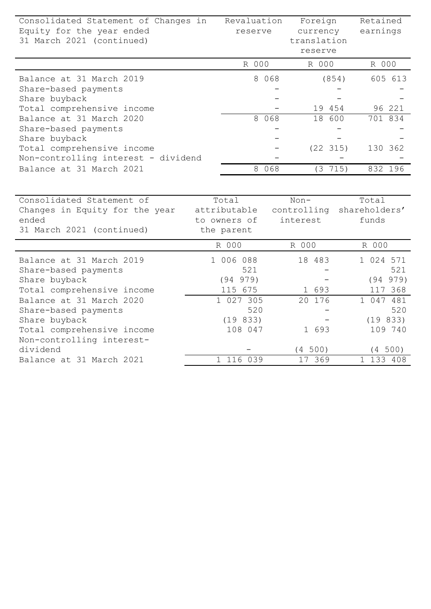| Consolidated Statement of Changes in<br>Equity for the year ended<br>31 March 2021 (continued)                              | Revaluation<br>reserve                               |         | Foreign<br>currency<br>translation<br>reserve |          | Retained<br>earnings            |                            |
|-----------------------------------------------------------------------------------------------------------------------------|------------------------------------------------------|---------|-----------------------------------------------|----------|---------------------------------|----------------------------|
|                                                                                                                             | R 000                                                |         |                                               | R 000    | R 000                           |                            |
| Balance at 31 March 2019<br>Share-based payments<br>Share buyback                                                           |                                                      | 8 0 6 8 |                                               | (854)    |                                 | 605 613                    |
| Total comprehensive income                                                                                                  |                                                      |         |                                               | 19 454   |                                 | 96 221                     |
| Balance at 31 March 2020<br>Share-based payments                                                                            |                                                      | 8 0 6 8 | 18                                            | 600      |                                 | 701 834                    |
| Share buyback<br>Total comprehensive income                                                                                 |                                                      |         |                                               | (22 315) |                                 | 130 362                    |
| Non-controlling interest - dividend                                                                                         |                                                      |         |                                               |          |                                 |                            |
| Balance at 31 March 2021                                                                                                    |                                                      | 8 0 6 8 |                                               | (3 715)  |                                 | 832 196                    |
| Consolidated Statement of<br>Changes in Equity for the year<br>ended<br>31 March 2021 (continued)                           | Total<br>attributable<br>to owners of<br>the parent  |         | $Non-$<br>controlling<br>interest             |          | Total<br>shareholders'<br>funds |                            |
|                                                                                                                             | R 000                                                |         | R 000                                         |          | R 000                           |                            |
| Balance at 31 March 2019<br>Share-based payments<br>Share buyback<br>Total comprehensive income<br>Balance at 31 March 2020 | 1 006 088<br>521<br>(94 979)<br>115 675<br>1 027 305 |         | 18 483<br>1 693<br>20 176                     |          | 1 024 571<br>1047481            | 521<br>(94 979)<br>117 368 |
| Share-based payments                                                                                                        | 520                                                  |         |                                               |          |                                 | 520                        |
| Share buyback<br>Total comprehensive income<br>Non-controlling interest-                                                    | (19 833)<br>108 047                                  |         | 1 693                                         |          |                                 | (19833)<br>109 740         |
| dividend                                                                                                                    |                                                      |         | (4 500)                                       |          |                                 | (4 500)                    |
| Balance at 31 March 2021                                                                                                    | 1 116 039                                            |         | 17 369                                        |          | 1 133 408                       |                            |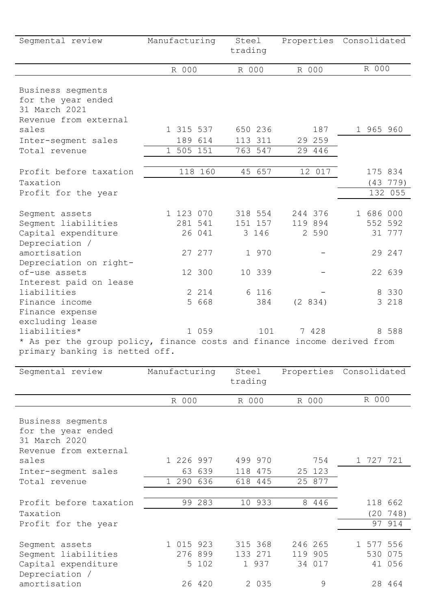| Segmental review                                                                                           | Manufacturing                  | Steel<br>trading            |                               | Properties Consolidated        |
|------------------------------------------------------------------------------------------------------------|--------------------------------|-----------------------------|-------------------------------|--------------------------------|
|                                                                                                            | R 000                          | R 000                       | R 000                         | R 000                          |
| Business segments<br>for the year ended<br>31 March 2021                                                   |                                |                             |                               |                                |
| Revenue from external<br>sales                                                                             | 1 315 537                      | 650 236                     | 187                           | 1 965 960                      |
|                                                                                                            | 189 614                        | 113 311                     | 29 259                        |                                |
| Inter-segment sales<br>Total revenue                                                                       | 1 505 151                      | 763 547                     | 29 446                        |                                |
|                                                                                                            |                                |                             |                               |                                |
| Profit before taxation                                                                                     | 118 160                        | 45 657                      | 12 017                        | 175 834                        |
| Taxation                                                                                                   |                                |                             |                               | (43 779)                       |
| Profit for the year                                                                                        |                                |                             |                               | 132 055                        |
| Segment assets<br>Segment liabilities<br>Capital expenditure<br>Depreciation /                             | 1 123 070<br>281 541<br>26 041 | 318 554<br>151 157<br>3 146 | 244 376<br>119 894<br>2 5 9 0 | 1 686 000<br>552 592<br>31 777 |
| amortisation<br>Depreciation on right-                                                                     | 27 277                         | 1 970                       |                               | 29 247                         |
| of-use assets<br>Interest paid on lease                                                                    | 12 300                         | 10 339                      |                               | 22 639                         |
| liabilities                                                                                                | 2 2 1 4                        | 6 116                       |                               | 8 3 3 0                        |
| Finance income                                                                                             | 5 668                          | 384                         | (2 834)                       | 3 218                          |
| Finance expense<br>excluding lease                                                                         |                                |                             |                               |                                |
| liabilities*                                                                                               | 1 059                          | 101                         | 7 428                         | 8 588                          |
| * As per the group policy, finance costs and finance income derived from<br>primary banking is netted off. |                                |                             |                               |                                |

| Segmental review                                                                           | Manufacturing                 | Steel<br>trading |                             | Properties |                              | Consolidated |  |                                  |
|--------------------------------------------------------------------------------------------|-------------------------------|------------------|-----------------------------|------------|------------------------------|--------------|--|----------------------------------|
|                                                                                            | R 000                         | R 000            |                             | R 000      |                              | R 000        |  |                                  |
| Business segments<br>for the year ended<br>31 March 2020<br>Revenue from external<br>sales | 1 226 997                     |                  | 499 970                     |            | 754                          |              |  | 1 727 721                        |
| Inter-segment sales<br>Total revenue                                                       | 63 639<br>1 290 636           |                  | 118 475<br>618 445          |            | 25 123<br>25 877             |              |  |                                  |
| Profit before taxation<br>Taxation<br>Profit for the year                                  | 99 283                        |                  | 10 933                      |            | 8 4 4 6                      |              |  | 118 662<br>$(20\ 748)$<br>97 914 |
| Segment assets<br>Segment liabilities<br>Capital expenditure<br>Depreciation /             | 1 015 923<br>276 899<br>5 102 |                  | 315 368<br>133 271<br>1 937 |            | 246 265<br>119 905<br>34 017 |              |  | 1 577 556<br>530 075<br>41 056   |
| amortisation                                                                               | 26 420                        |                  | 2 0 3 5                     |            | 9                            |              |  | 28 464                           |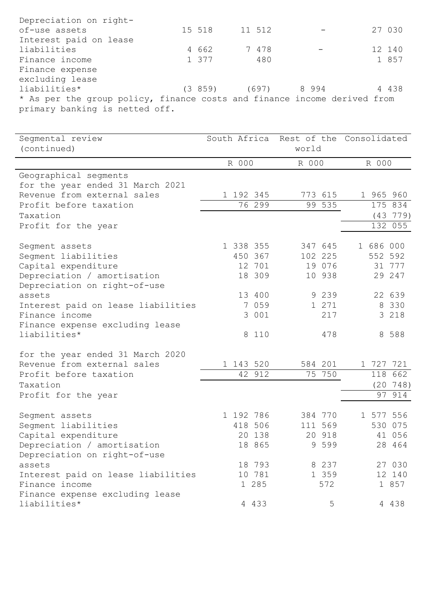| Depreciation on right-                                                   |        |        |                        |  |         |  |
|--------------------------------------------------------------------------|--------|--------|------------------------|--|---------|--|
| of-use assets                                                            | 15 518 | 11 512 |                        |  | 27 030  |  |
| Interest paid on lease                                                   |        |        |                        |  |         |  |
| liabilities                                                              | 4 662  |        | 7 478                  |  | 12 140  |  |
| Finance income                                                           | 1 377  |        | 480                    |  | 1 857   |  |
| Finance expense                                                          |        |        |                        |  |         |  |
| excluding lease                                                          |        |        |                        |  |         |  |
| liabilities*                                                             |        |        | $(3859)$ $(697)$ 8 994 |  | 4 4 3 8 |  |
| * As per the group policy, finance costs and finance income derived from |        |        |                        |  |         |  |
| primary banking is netted off.                                           |        |        |                        |  |         |  |

|                                    |                                    |                                                                                                                                                                                                                | world  |                                                                                                                                                                            |       |                                                                                                                                |  |
|------------------------------------|------------------------------------|----------------------------------------------------------------------------------------------------------------------------------------------------------------------------------------------------------------|--------|----------------------------------------------------------------------------------------------------------------------------------------------------------------------------|-------|--------------------------------------------------------------------------------------------------------------------------------|--|
|                                    |                                    |                                                                                                                                                                                                                |        |                                                                                                                                                                            |       |                                                                                                                                |  |
|                                    |                                    |                                                                                                                                                                                                                |        |                                                                                                                                                                            |       |                                                                                                                                |  |
|                                    |                                    |                                                                                                                                                                                                                |        |                                                                                                                                                                            |       |                                                                                                                                |  |
|                                    |                                    |                                                                                                                                                                                                                |        |                                                                                                                                                                            |       |                                                                                                                                |  |
|                                    |                                    |                                                                                                                                                                                                                |        |                                                                                                                                                                            |       | 175 834                                                                                                                        |  |
|                                    |                                    |                                                                                                                                                                                                                |        |                                                                                                                                                                            |       | (43 779)                                                                                                                       |  |
|                                    |                                    |                                                                                                                                                                                                                |        |                                                                                                                                                                            |       | 132 055                                                                                                                        |  |
|                                    |                                    |                                                                                                                                                                                                                |        |                                                                                                                                                                            |       |                                                                                                                                |  |
|                                    |                                    |                                                                                                                                                                                                                |        |                                                                                                                                                                            |       |                                                                                                                                |  |
|                                    |                                    |                                                                                                                                                                                                                |        |                                                                                                                                                                            |       | 31 777                                                                                                                         |  |
|                                    |                                    |                                                                                                                                                                                                                |        |                                                                                                                                                                            |       | 29 247                                                                                                                         |  |
|                                    |                                    |                                                                                                                                                                                                                |        |                                                                                                                                                                            |       |                                                                                                                                |  |
|                                    |                                    |                                                                                                                                                                                                                |        |                                                                                                                                                                            |       | 22 639                                                                                                                         |  |
|                                    |                                    |                                                                                                                                                                                                                |        |                                                                                                                                                                            |       | 8 330                                                                                                                          |  |
|                                    |                                    |                                                                                                                                                                                                                | 217    |                                                                                                                                                                            |       | 3 2 1 8                                                                                                                        |  |
|                                    |                                    |                                                                                                                                                                                                                |        |                                                                                                                                                                            |       |                                                                                                                                |  |
|                                    |                                    |                                                                                                                                                                                                                | 478    |                                                                                                                                                                            |       | 8 588                                                                                                                          |  |
|                                    |                                    |                                                                                                                                                                                                                |        |                                                                                                                                                                            |       |                                                                                                                                |  |
|                                    |                                    |                                                                                                                                                                                                                |        |                                                                                                                                                                            |       |                                                                                                                                |  |
|                                    |                                    |                                                                                                                                                                                                                |        |                                                                                                                                                                            |       | 118 662                                                                                                                        |  |
|                                    |                                    |                                                                                                                                                                                                                |        |                                                                                                                                                                            |       | (20 748)                                                                                                                       |  |
|                                    |                                    |                                                                                                                                                                                                                |        |                                                                                                                                                                            |       | 914                                                                                                                            |  |
|                                    |                                    |                                                                                                                                                                                                                |        |                                                                                                                                                                            |       |                                                                                                                                |  |
|                                    |                                    |                                                                                                                                                                                                                |        |                                                                                                                                                                            |       |                                                                                                                                |  |
|                                    |                                    |                                                                                                                                                                                                                |        |                                                                                                                                                                            |       | 41 056                                                                                                                         |  |
|                                    |                                    |                                                                                                                                                                                                                |        |                                                                                                                                                                            |       | 28 464                                                                                                                         |  |
|                                    |                                    |                                                                                                                                                                                                                |        |                                                                                                                                                                            |       |                                                                                                                                |  |
|                                    |                                    |                                                                                                                                                                                                                |        |                                                                                                                                                                            |       | 27 030                                                                                                                         |  |
|                                    |                                    |                                                                                                                                                                                                                |        |                                                                                                                                                                            |       | 12 140                                                                                                                         |  |
|                                    |                                    |                                                                                                                                                                                                                |        |                                                                                                                                                                            |       | 1 857                                                                                                                          |  |
|                                    |                                    |                                                                                                                                                                                                                |        |                                                                                                                                                                            |       |                                                                                                                                |  |
|                                    |                                    |                                                                                                                                                                                                                | 5      |                                                                                                                                                                            |       | 4 4 3 8                                                                                                                        |  |
| Interest paid on lease liabilities | Interest paid on lease liabilities | R 000<br>1 192 345<br>76 299<br>1 338 355<br>450 367<br>12 701<br>18 309<br>13 400<br>7 059<br>3 001<br>8 110<br>1 143 520<br>42 912<br>1 192 786<br>418 506<br>20 138<br>18 865<br>18 793<br>1 285<br>4 4 3 3 | 10 781 | R 000<br>773 615<br>99 535<br>347 645<br>102 225<br>19 076<br>10 938<br>9 2 3 9<br>1 271<br>584 201<br>75 750<br>384 770<br>111 569<br>20 918<br>9 5 9 9<br>8 2 3 7<br>572 | 1 359 | South Africa Rest of the Consolidated<br>R 000<br>1 965 960<br>1 686 000<br>552 592<br>1 727 721<br>97<br>1 577 556<br>530 075 |  |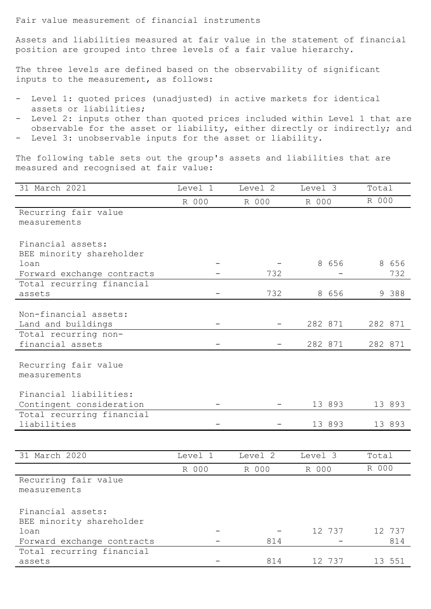Fair value measurement of financial instruments

Assets and liabilities measured at fair value in the statement of financial position are grouped into three levels of a fair value hierarchy.

The three levels are defined based on the observability of significant inputs to the measurement, as follows:

- Level 1: quoted prices (unadjusted) in active markets for identical assets or liabilities;
- Level 2: inputs other than quoted prices included within Level 1 that are observable for the asset or liability, either directly or indirectly; and - Level 3: unobservable inputs for the asset or liability.

The following table sets out the group's assets and liabilities that are measured and recognised at fair value:

| 31 March 2021                            | Level 1 | Level 2 | Level 3 | Total   |
|------------------------------------------|---------|---------|---------|---------|
|                                          | R 000   | R 000   | R 000   | R 000   |
| Recurring fair value                     |         |         |         |         |
| measurements                             |         |         |         |         |
|                                          |         |         |         |         |
| Financial assets:                        |         |         |         |         |
| BEE minority shareholder                 |         |         |         |         |
| loan                                     |         |         | 8 656   | 8 656   |
| Forward exchange contracts               |         | 732     |         | 732     |
| Total recurring financial                |         |         |         |         |
| assets                                   |         | 732     | 8 656   | 9 388   |
|                                          |         |         |         |         |
| Non-financial assets:                    |         |         | 282 871 |         |
| Land and buildings                       |         |         |         | 282 871 |
| Total recurring non-<br>financial assets |         |         | 282 871 | 282 871 |
|                                          |         |         |         |         |
|                                          |         |         |         |         |
| Recurring fair value<br>measurements     |         |         |         |         |
|                                          |         |         |         |         |
| Financial liabilities:                   |         |         |         |         |
| Contingent consideration                 |         |         | 13 893  | 13 893  |
| Total recurring financial                |         |         |         |         |
| liabilities                              |         |         | 13 893  | 13 893  |
|                                          |         |         |         |         |
|                                          |         |         |         |         |
| 31 March 2020                            | Level 1 | Level 2 | Level 3 | Total   |
|                                          | R 000   | R 000   | R 000   | R 000   |
| Recurring fair value                     |         |         |         |         |
| measurements                             |         |         |         |         |
|                                          |         |         |         |         |
| Financial assets:                        |         |         |         |         |
| BEE minority shareholder                 |         |         |         |         |
| loan                                     |         |         | 12 737  | 12 737  |
| Forward exchange contracts               |         | 814     |         | 814     |
| Total recurring financial                |         |         |         |         |
| assets                                   |         | 814     | 12 737  | 13 551  |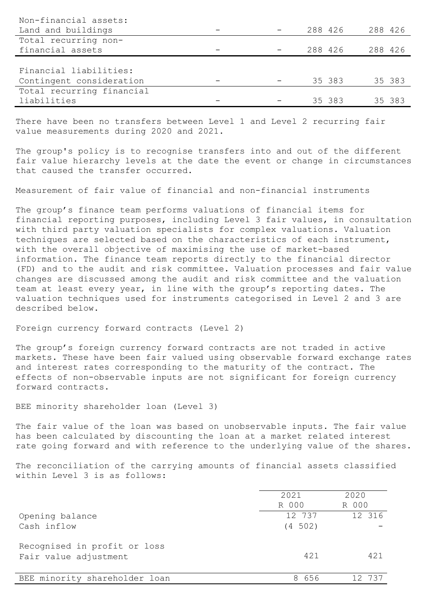| Non-financial assets:     |         |         |         |        |
|---------------------------|---------|---------|---------|--------|
| Land and buildings        | 288 426 |         | 288 426 |        |
| Total recurring non-      |         |         |         |        |
| financial assets          |         | 288 426 | 288 426 |        |
|                           |         |         |         |        |
| Financial liabilities:    |         |         |         |        |
| Contingent consideration  |         | 35 383  |         | 35 383 |
| Total recurring financial |         |         |         |        |
| liabilities               |         | 35 383  |         | 35 383 |

There have been no transfers between Level 1 and Level 2 recurring fair value measurements during 2020 and 2021.

The group's policy is to recognise transfers into and out of the different fair value hierarchy levels at the date the event or change in circumstances that caused the transfer occurred.

Measurement of fair value of financial and non-financial instruments

The group's finance team performs valuations of financial items for financial reporting purposes, including Level 3 fair values, in consultation with third party valuation specialists for complex valuations. Valuation techniques are selected based on the characteristics of each instrument, with the overall objective of maximising the use of market-based information. The finance team reports directly to the financial director (FD) and to the audit and risk committee. Valuation processes and fair value changes are discussed among the audit and risk committee and the valuation team at least every year, in line with the group's reporting dates. The valuation techniques used for instruments categorised in Level 2 and 3 are described below.

Foreign currency forward contracts (Level 2)

The group's foreign currency forward contracts are not traded in active markets. These have been fair valued using observable forward exchange rates and interest rates corresponding to the maturity of the contract. The effects of non-observable inputs are not significant for foreign currency forward contracts.

BEE minority shareholder loan (Level 3)

The fair value of the loan was based on unobservable inputs. The fair value has been calculated by discounting the loan at a market related interest rate going forward and with reference to the underlying value of the shares.

The reconciliation of the carrying amounts of financial assets classified within Level 3 is as follows:

|                                                       | 2021    | 2020   |
|-------------------------------------------------------|---------|--------|
|                                                       | R 000   | R 000  |
| Opening balance                                       | 12 737  | 12 316 |
| Cash inflow                                           | (4 502) |        |
| Recognised in profit or loss<br>Fair value adjustment | 421     | 421    |
|                                                       |         |        |
| BEE minority shareholder loan                         | 8656    | 12 737 |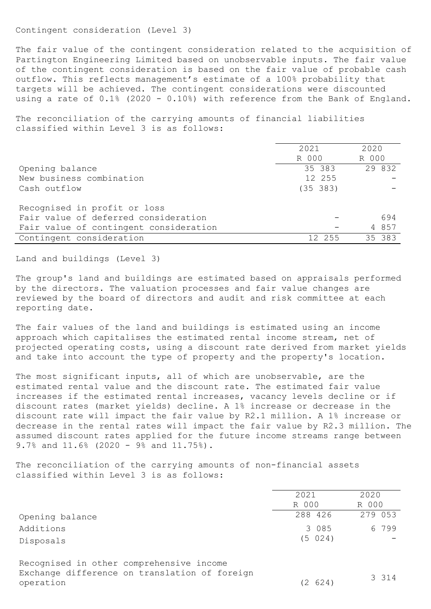Contingent consideration (Level 3)

The fair value of the contingent consideration related to the acquisition of Partington Engineering Limited based on unobservable inputs. The fair value of the contingent consideration is based on the fair value of probable cash outflow. This reflects management's estimate of a 100% probability that targets will be achieved. The contingent considerations were discounted using a rate of 0.1% (2020 - 0.10%) with reference from the Bank of England.

The reconciliation of the carrying amounts of financial liabilities classified within Level 3 is as follows:

|                                        | 2021     | 2020   |
|----------------------------------------|----------|--------|
|                                        | R 000    | R 000  |
| Opening balance                        | 35 383   | 29 832 |
| New business combination               | 12 255   |        |
| Cash outflow                           | (35 383) |        |
|                                        |          |        |
| Recognised in profit or loss           |          |        |
| Fair value of deferred consideration   |          | 694    |
| Fair value of contingent consideration |          | 4 857  |
| Contingent consideration               | 12 255   | 35 383 |

Land and buildings (Level 3)

The group's land and buildings are estimated based on appraisals performed by the directors. The valuation processes and fair value changes are reviewed by the board of directors and audit and risk committee at each reporting date.

The fair values of the land and buildings is estimated using an income approach which capitalises the estimated rental income stream, net of projected operating costs, using a discount rate derived from market yields and take into account the type of property and the property's location.

The most significant inputs, all of which are unobservable, are the estimated rental value and the discount rate. The estimated fair value increases if the estimated rental increases, vacancy levels decline or if discount rates (market yields) decline. A 1% increase or decrease in the discount rate will impact the fair value by R2.1 million. A 1% increase or decrease in the rental rates will impact the fair value by R2.3 million. The assumed discount rates applied for the future income streams range between 9.7% and 11.6% (2020 - 9% and 11.75%).

The reconciliation of the carrying amounts of non-financial assets classified within Level 3 is as follows:

|                                               | 2021    | 2020    |
|-----------------------------------------------|---------|---------|
|                                               | R 000   | R 000   |
| Opening balance                               | 288 426 | 279 053 |
| Additions                                     | 3 085   | 6 799   |
| Disposals                                     | (5 024) |         |
| Recognised in other comprehensive income      |         |         |
| Exchange difference on translation of foreign |         | 3 3 1 4 |
| operation                                     | (2 624) |         |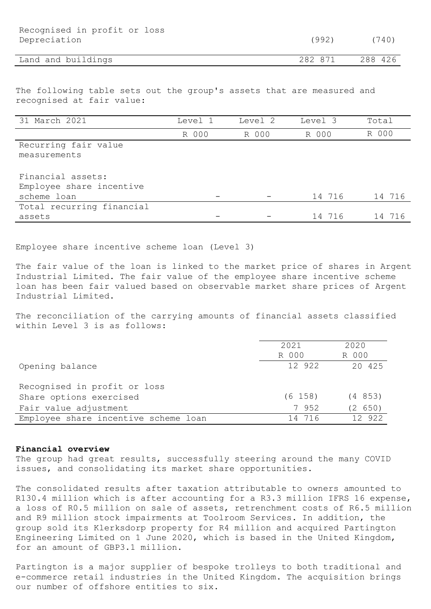| Recognised in profit or loss<br>Depreciation | (992)   | (740)   |
|----------------------------------------------|---------|---------|
| Land and buildings                           | 282 871 | 288 426 |

The following table sets out the group's assets that are measured and recognised at fair value:

| 31 March 2021             | Level 1 | Level 2 | Level 3 | Total  |
|---------------------------|---------|---------|---------|--------|
|                           | R 000   | R 000   | R 000   | R 000  |
| Recurring fair value      |         |         |         |        |
| measurements              |         |         |         |        |
|                           |         |         |         |        |
| Financial assets:         |         |         |         |        |
| Employee share incentive  |         |         |         |        |
| scheme loan               |         |         | 14 716  | 14 716 |
| Total recurring financial |         |         |         |        |
| assets                    |         |         | 14 716  | 14 716 |

Employee share incentive scheme loan (Level 3)

The fair value of the loan is linked to the market price of shares in Argent Industrial Limited. The fair value of the employee share incentive scheme loan has been fair valued based on observable market share prices of Argent Industrial Limited.

The reconciliation of the carrying amounts of financial assets classified within Level 3 is as follows:

|                                      | 2021       | 2020    |
|--------------------------------------|------------|---------|
|                                      | R 000      | R 000   |
| Opening balance                      | 12 922     | 20 425  |
| Recognised in profit or loss         |            |         |
| Share options exercised              | $(6\;158)$ | (4853)  |
| Fair value adjustment                | 7 952      | (2 650) |
| Employee share incentive scheme loan | 14 716     | 12 922  |

## Financial overview

The group had great results, successfully steering around the many COVID issues, and consolidating its market share opportunities.

The consolidated results after taxation attributable to owners amounted to R130.4 million which is after accounting for a R3.3 million IFRS 16 expense, a loss of R0.5 million on sale of assets, retrenchment costs of R6.5 million and R9 million stock impairments at Toolroom Services. In addition, the group sold its Klerksdorp property for R4 million and acquired Partington Engineering Limited on 1 June 2020, which is based in the United Kingdom, for an amount of GBP3.1 million.

Partington is a major supplier of bespoke trolleys to both traditional and e-commerce retail industries in the United Kingdom. The acquisition brings our number of offshore entities to six.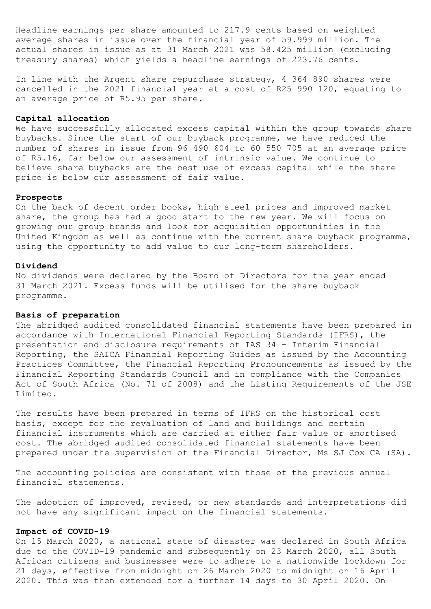Headline earnings per share amounted to 217.9 cents based on weighted average shares in issue over the financial year of 59.999 million. The actual shares in issue as at 31 March 2021 was 58.425 million (excluding treasury shares) which yields a headline earnings of 223.76 cents.

In line with the Argent share repurchase strategy, 4 364 890 shares were cancelled in the 2021 financial year at a cost of R25 990 120, equating to an average price of R5.95 per share.

# Capital allocation

We have successfully allocated excess capital within the group towards share buybacks. Since the start of our buyback programme, we have reduced the number of shares in issue from 96 490 604 to 60 550 705 at an average price of R5.16, far below our assessment of intrinsic value. We continue to believe share buybacks are the best use of excess capital while the share price is below our assessment of fair value.

#### Prospects

On the back of decent order books, high steel prices and improved market share, the group has had a good start to the new year. We will focus on growing our group brands and look for acquisition opportunities in the United Kingdom as well as continue with the current share buyback programme, using the opportunity to add value to our long-term shareholders.

### Dividend

No dividends were declared by the Board of Directors for the year ended 31 March 2021. Excess funds will be utilised for the share buyback programme.

# Basis of preparation

The abridged audited consolidated financial statements have been prepared in accordance with International Financial Reporting Standards (IFRS), the presentation and disclosure requirements of IAS 34 - Interim Financial Reporting, the SAICA Financial Reporting Guides as issued by the Accounting Practices Committee, the Financial Reporting Pronouncements as issued by the Financial Reporting Standards Council and in compliance with the Companies Act of South Africa (No. 71 of 2008) and the Listing Requirements of the JSE Limited.

The results have been prepared in terms of IFRS on the historical cost basis, except for the revaluation of land and buildings and certain financial instruments which are carried at either fair value or amortised cost. The abridged audited consolidated financial statements have been prepared under the supervision of the Financial Director, Ms SJ Cox CA (SA).

The accounting policies are consistent with those of the previous annual financial statements.

The adoption of improved, revised, or new standards and interpretations did not have any significant impact on the financial statements.

## Impact of COVID-19

On 15 March 2020, a national state of disaster was declared in South Africa due to the COVID-19 pandemic and subsequently on 23 March 2020, all South African citizens and businesses were to adhere to a nationwide lockdown for 21 days, effective from midnight on 26 March 2020 to midnight on 16 April 2020. This was then extended for a further 14 days to 30 April 2020. On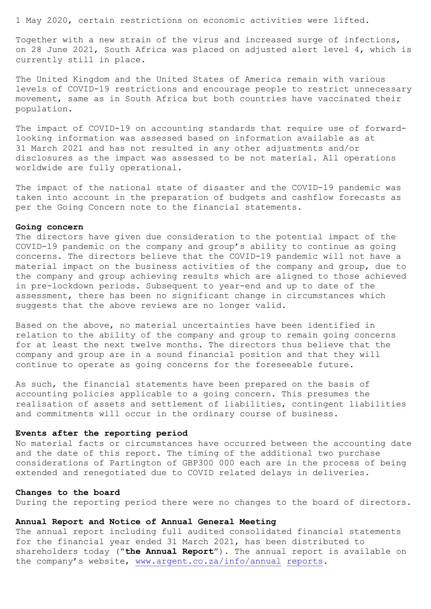1 May 2020, certain restrictions on economic activities were lifted.

Together with a new strain of the virus and increased surge of infections, on 28 June 2021, South Africa was placed on adjusted alert level 4, which is currently still in place.

The United Kingdom and the United States of America remain with various levels of COVID-19 restrictions and encourage people to restrict unnecessary movement, same as in South Africa but both countries have vaccinated their population.

The impact of COVID-19 on accounting standards that require use of forwardlooking information was assessed based on information available as at 31 March 2021 and has not resulted in any other adjustments and/or disclosures as the impact was assessed to be not material. All operations worldwide are fully operational.

The impact of the national state of disaster and the COVID-19 pandemic was taken into account in the preparation of budgets and cashflow forecasts as per the Going Concern note to the financial statements.

## Going concern

The directors have given due consideration to the potential impact of the COVID-19 pandemic on the company and group's ability to continue as going concerns. The directors believe that the COVID-19 pandemic will not have a material impact on the business activities of the company and group, due to the company and group achieving results which are aligned to those achieved in pre-lockdown periods. Subsequent to year-end and up to date of the assessment, there has been no significant change in circumstances which suggests that the above reviews are no longer valid.

Based on the above, no material uncertainties have been identified in relation to the ability of the company and group to remain going concerns for at least the next twelve months. The directors thus believe that the company and group are in a sound financial position and that they will continue to operate as going concerns for the foreseeable future.

As such, the financial statements have been prepared on the basis of accounting policies applicable to a going concern. This presumes the realisation of assets and settlement of liabilities, contingent liabilities and commitments will occur in the ordinary course of business.

# Events after the reporting period

No material facts or circumstances have occurred between the accounting date and the date of this report. The timing of the additional two purchase considerations of Partington of GBP300 000 each are in the process of being extended and renegotiated due to COVID related delays in deliveries.

## Changes to the board

During the reporting period there were no changes to the board of directors.

#### Annual Report and Notice of Annual General Meeting

The annual report including full audited consolidated financial statements for the financial year ended 31 March 2021, has been distributed to shareholders today ("the Annual Report"). The annual report is available on the company's website, www.argent.co.za/info/annual reports.